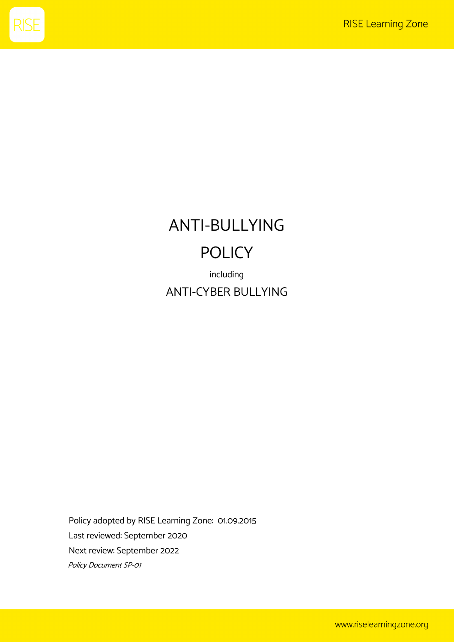

# ANTI-BULLYING POLICY

including ANTI-CYBER BULLYING

Policy adopted by RISE Learning Zone: 01.09.2015 Last reviewed: September 2020 Next review: September 2022 Policy Document SP-01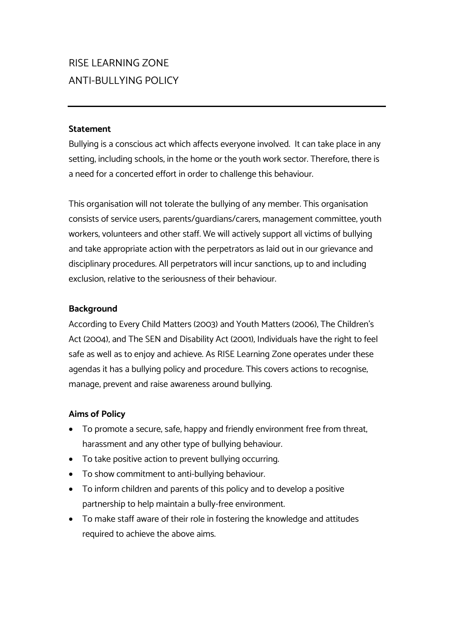# RISE LEARNING ZONE ANTI-BULLYING POLICY

#### **Statement**

Bullying is a conscious act which affects everyone involved. It can take place in any setting, including schools, in the home or the youth work sector. Therefore, there is a need for a concerted effort in order to challenge this behaviour.

This organisation will not tolerate the bullying of any member. This organisation consists of service users, parents/guardians/carers, management committee, youth workers, volunteers and other staff. We will actively support all victims of bullying and take appropriate action with the perpetrators as laid out in our grievance and disciplinary procedures. All perpetrators will incur sanctions, up to and including exclusion, relative to the seriousness of their behaviour.

#### **Background**

According to Every Child Matters (2003) and Youth Matters (2006), The Children's Act (2004), and The SEN and Disability Act (2001), Individuals have the right to feel safe as well as to enjoy and achieve. As RISE Learning Zone operates under these agendas it has a bullying policy and procedure. This covers actions to recognise, manage, prevent and raise awareness around bullying.

# **Aims of Policy**

- To promote a secure, safe, happy and friendly environment free from threat, harassment and any other type of bullying behaviour.
- To take positive action to prevent bullying occurring.
- To show commitment to anti-bullying behaviour.
- To inform children and parents of this policy and to develop a positive partnership to help maintain a bully-free environment.
- To make staff aware of their role in fostering the knowledge and attitudes required to achieve the above aims.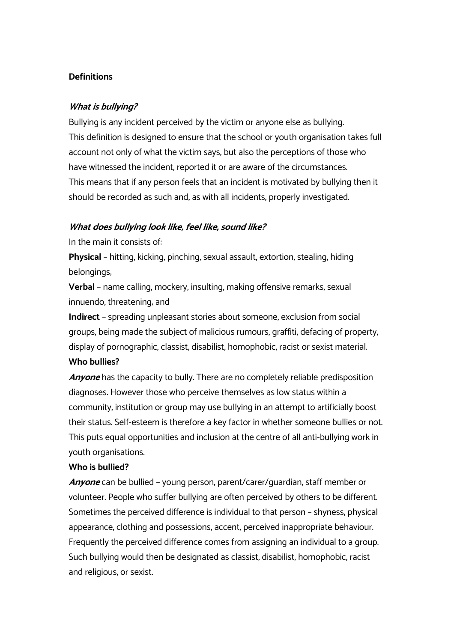### **Definitions**

#### **What is bullying?**

Bullying is any incident perceived by the victim or anyone else as bullying. This definition is designed to ensure that the school or youth organisation takes full account not only of what the victim says, but also the perceptions of those who have witnessed the incident, reported it or are aware of the circumstances. This means that if any person feels that an incident is motivated by bullying then it should be recorded as such and, as with all incidents, properly investigated.

#### **What does bullying look like, feel like, sound like?**

In the main it consists of:

**Physical** – hitting, kicking, pinching, sexual assault, extortion, stealing, hiding belongings;

**Verbal** – name calling, mockery, insulting, making offensive remarks, sexual innuendo, threatening; and

**Indirect** – spreading unpleasant stories about someone, exclusion from social groups, being made the subject of malicious rumours, graffiti, defacing of property, display of pornographic, classist, disabilist, homophobic, racist or sexist material.

#### **Who bullies?**

Anyone has the capacity to bully. There are no completely reliable predisposition diagnoses. However those who perceive themselves as low status within a community, institution or group may use bullying in an attempt to artificially boost their status. Self-esteem is therefore a key factor in whether someone bullies or not. This puts equal opportunities and inclusion at the centre of all anti-bullying work in youth organisations.

#### **Who is bullied?**

**Anyone** can be bullied – young person, parent/carer/guardian, staff member or volunteer. People who suffer bullying are often perceived by others to be different. Sometimes the perceived difference is individual to that person – shyness, physical appearance, clothing and possessions, accent, perceived inappropriate behaviour. Frequently the perceived difference comes from assigning an individual to a group. Such bullying would then be designated as classist, disabilist, homophobic, racist and religious, or sexist.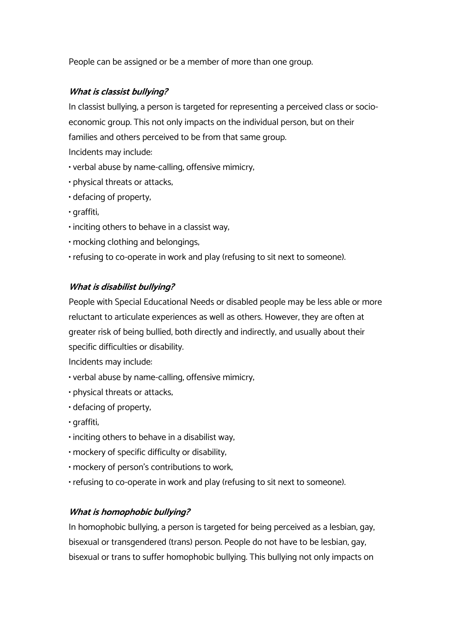People can be assigned or be a member of more than one group.

# **What is classist bullying?**

In classist bullying, a person is targeted for representing a perceived class or socioeconomic group. This not only impacts on the individual person, but on their families and others perceived to be from that same group. Incidents may include:

- verbal abuse by name-calling, offensive mimicry;
- physical threats or attacks;
- defacing of property;
- graffiti;
- inciting others to behave in a classist way;
- mocking clothing and belongings;
- refusing to co-operate in work and play (refusing to sit next to someone).

# **What is disabilist bullying?**

People with Special Educational Needs or disabled people may be less able or more reluctant to articulate experiences as well as others. However, they are often at greater risk of being bullied, both directly and indirectly, and usually about their specific difficulties or disability.

Incidents may include:

- verbal abuse by name-calling, offensive mimicry;
- physical threats or attacks;
- defacing of property;
- graffiti;
- inciting others to behave in a disabilist way;
- mockery of specific difficulty or disability;
- mockery of person's contributions to work;
- refusing to co-operate in work and play (refusing to sit next to someone).

# **What is homophobic bullying?**

In homophobic bullying, a person is targeted for being perceived as a lesbian, gay, bisexual or transgendered (trans) person. People do not have to be lesbian, gay, bisexual or trans to suffer homophobic bullying. This bullying not only impacts on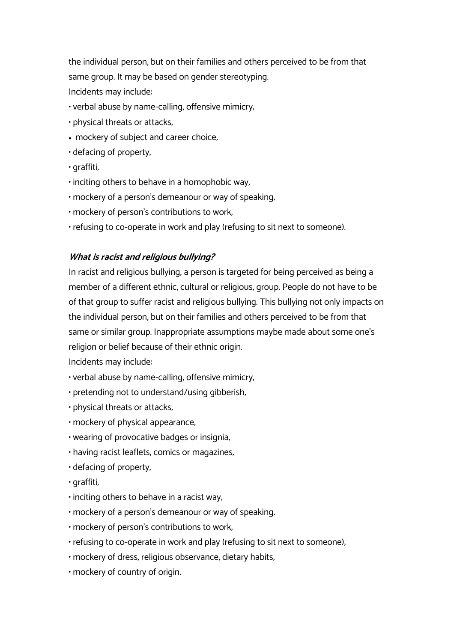the individual person, but on their families and others perceived to be from that same group. It may be based on gender stereotyping. Incidents may include:

- verbal abuse by name-calling, offensive mimicry;
- physical threats or attacks;
- mockery of subject and career choice;
- defacing of property;
- graffiti;
- inciting others to behave in a homophobic way;
- mockery of a person's demeanour or way of speaking;
- mockery of person's contributions to work;
- refusing to co-operate in work and play (refusing to sit next to someone).

#### **What is racist and religious bullying?**

In racist and religious bullying, a person is targeted for being perceived as being a member of a different ethnic, cultural or religious, group. People do not have to be of that group to suffer racist and religious bullying. This bullying not only impacts on the individual person, but on their families and others perceived to be from that same or similar group. Inappropriate assumptions maybe made about some one's religion or belief because of their ethnic origin.

Incidents may include:

- verbal abuse by name-calling, offensive mimicry;
- pretending not to understand/using gibberish;
- physical threats or attacks;
- mockery of physical appearance;
- wearing of provocative badges or insignia;
- having racist leaflets, comics or magazines;
- defacing of property;
- graffiti;
- inciting others to behave in a racist way;
- mockery of a person's demeanour or way of speaking;
- mockery of person's contributions to work;
- refusing to co-operate in work and play (refusing to sit next to someone);
- mockery of dress, religious observance, dietary habits;
- mockery of country of origin.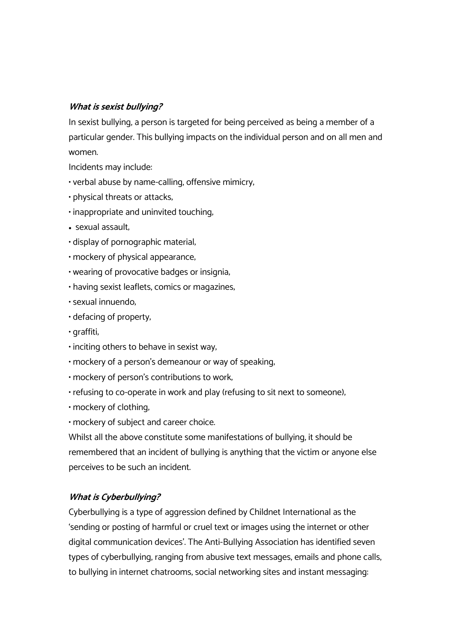# **What is sexist bullying?**

In sexist bullying, a person is targeted for being perceived as being a member of a particular gender. This bullying impacts on the individual person and on all men and women.

Incidents may include:

- verbal abuse by name-calling, offensive mimicry;
- physical threats or attacks;
- inappropriate and uninvited touching;
- sexual assault;
- display of pornographic material;
- mockery of physical appearance;
- wearing of provocative badges or insignia;
- having sexist leaflets, comics or magazines;
- sexual innuendo;
- defacing of property;
- graffiti;
- inciting others to behave in sexist way;
- mockery of a person's demeanour or way of speaking;
- mockery of person's contributions to work;
- refusing to co-operate in work and play (refusing to sit next to someone);
- mockery of clothing;
- mockery of subject and career choice.

Whilst all the above constitute some manifestations of bullying, it should be remembered that an incident of bullying is anything that the victim or anyone else perceives to be such an incident.

# **What is Cyberbullying?**

Cyberbullying is a type of aggression defined by Childnet International as the 'sending or posting of harmful or cruel text or images using the internet or other digital communication devices'. The Anti-Bullying Association has identified seven types of cyberbullying, ranging from abusive text messages, emails and phone calls, to bullying in internet chatrooms, social networking sites and instant messaging: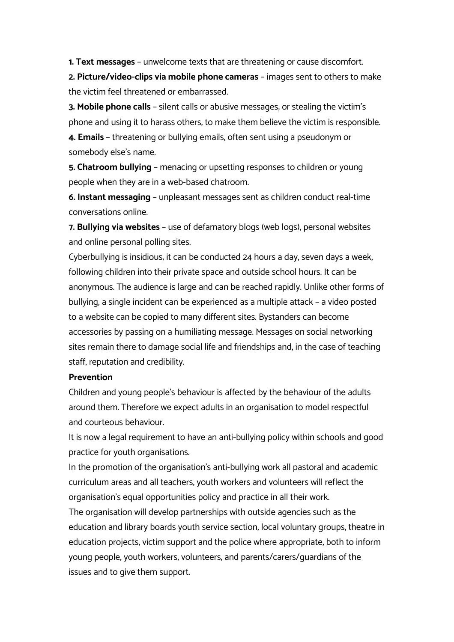**1. Text messages** – unwelcome texts that are threatening or cause discomfort.

**2. Picture/video-clips via mobile phone cameras** – images sent to others to make the victim feel threatened or embarrassed.

**3. Mobile phone calls** – silent calls or abusive messages; or stealing the victim's phone and using it to harass others, to make them believe the victim is responsible.

**4. Emails** – threatening or bullying emails, often sent using a pseudonym or somebody else's name.

**5. Chatroom bullying** – menacing or upsetting responses to children or young people when they are in a web-based chatroom.

**6. Instant messaging** – unpleasant messages sent as children conduct real-time conversations online.

**7. Bullying via websites** – use of defamatory blogs (web logs), personal websites and online personal polling sites.

Cyberbullying is insidious; it can be conducted 24 hours a day, seven days a week, following children into their private space and outside school hours. It can be anonymous. The audience is large and can be reached rapidly. Unlike other forms of bullying, a single incident can be experienced as a multiple attack – a video posted to a website can be copied to many different sites. Bystanders can become accessories by passing on a humiliating message. Messages on social networking sites remain there to damage social life and friendships and, in the case of teaching staff, reputation and credibility.

#### **Prevention**

Children and young people's behaviour is affected by the behaviour of the adults around them. Therefore we expect adults in an organisation to model respectful and courteous behaviour.

It is now a legal requirement to have an anti-bullying policy within schools and good practice for youth organisations.

In the promotion of the organisation's anti-bullying work all pastoral and academic curriculum areas and all teachers, youth workers and volunteers will reflect the organisation's equal opportunities policy and practice in all their work.

The organisation will develop partnerships with outside agencies such as the education and library boards youth service section, local voluntary groups, theatre in education projects, victim support and the police where appropriate, both to inform young people, youth workers, volunteers, and parents/carers/guardians of the issues and to give them support.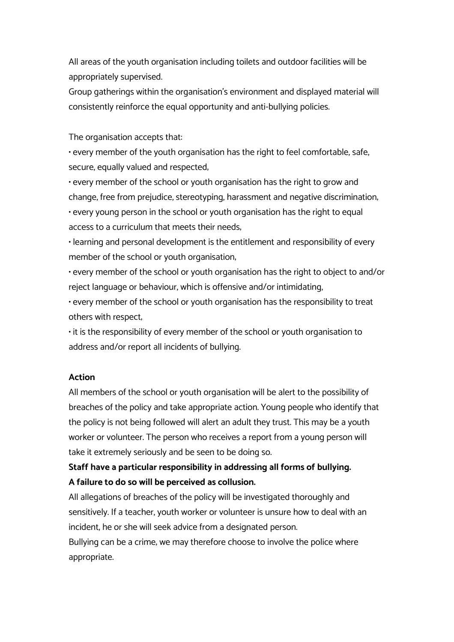All areas of the youth organisation including toilets and outdoor facilities will be appropriately supervised.

Group gatherings within the organisation's environment and displayed material will consistently reinforce the equal opportunity and anti-bullying policies.

The organisation accepts that:

• every member of the youth organisation has the right to feel comfortable, safe, secure, equally valued and respected;

• every member of the school or youth organisation has the right to grow and change, free from prejudice, stereotyping, harassment and negative discrimination; • every young person in the school or youth organisation has the right to equal access to a curriculum that meets their needs;

• learning and personal development is the entitlement and responsibility of every member of the school or youth organisation;

• every member of the school or youth organisation has the right to object to and/or reject language or behaviour, which is offensive and/or intimidating,

• every member of the school or youth organisation has the responsibility to treat others with respect;

• it is the responsibility of every member of the school or youth organisation to address and/or report all incidents of bullying.

# **Action**

All members of the school or youth organisation will be alert to the possibility of breaches of the policy and take appropriate action. Young people who identify that the policy is not being followed will alert an adult they trust. This may be a youth worker or volunteer. The person who receives a report from a young person will take it extremely seriously and be seen to be doing so.

# **Staff have a particular responsibility in addressing all forms of bullying. A failure to do so will be perceived as collusion.**

All allegations of breaches of the policy will be investigated thoroughly and sensitively. If a teacher, youth worker or volunteer is unsure how to deal with an incident, he or she will seek advice from a designated person.

Bullying can be a crime; we may therefore choose to involve the police where appropriate.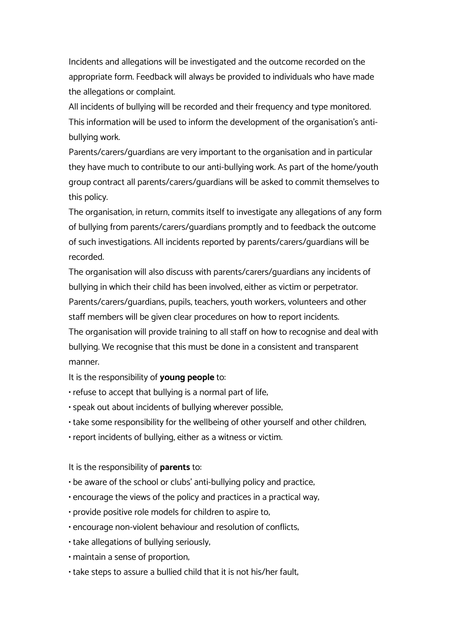Incidents and allegations will be investigated and the outcome recorded on the appropriate form. Feedback will always be provided to individuals who have made the allegations or complaint.

All incidents of bullying will be recorded and their frequency and type monitored. This information will be used to inform the development of the organisation's antibullying work.

Parents/carers/guardians are very important to the organisation and in particular they have much to contribute to our anti-bullying work. As part of the home/youth group contract all parents/carers/guardians will be asked to commit themselves to this policy.

The organisation, in return, commits itself to investigate any allegations of any form of bullying from parents/carers/guardians promptly and to feedback the outcome of such investigations. All incidents reported by parents/carers/guardians will be recorded.

The organisation will also discuss with parents/carers/guardians any incidents of bullying in which their child has been involved, either as victim or perpetrator. Parents/carers/guardians, pupils, teachers, youth workers, volunteers and other staff members will be given clear procedures on how to report incidents.

The organisation will provide training to all staff on how to recognise and deal with bullying. We recognise that this must be done in a consistent and transparent manner.

It is the responsibility of **young people** to:

• refuse to accept that bullying is a normal part of life;

• speak out about incidents of bullying wherever possible;

• take some responsibility for the wellbeing of other yourself and other children;

• report incidents of bullying, either as a witness or victim.

It is the responsibility of **parents** to:

- be aware of the school or clubs' anti-bullying policy and practice;
- encourage the views of the policy and practices in a practical way;
- provide positive role models for children to aspire to;
- encourage non-violent behaviour and resolution of conflicts;
- take allegations of bullying seriously;
- maintain a sense of proportion;
- take steps to assure a bullied child that it is not his/her fault;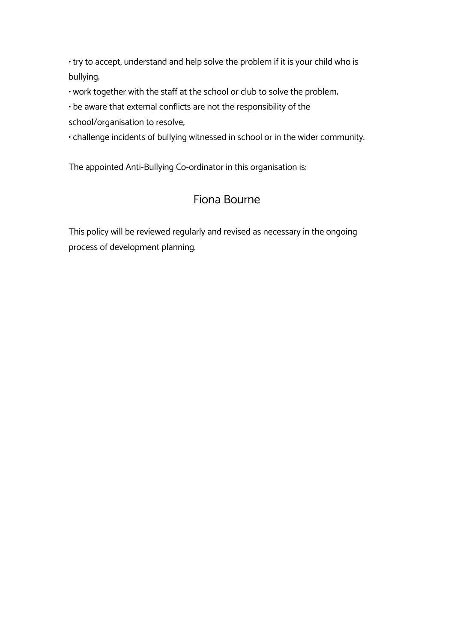• try to accept, understand and help solve the problem if it is your child who is bullying;

• work together with the staff at the school or club to solve the problem;

• be aware that external conflicts are not the responsibility of the school/organisation to resolve;

• challenge incidents of bullying witnessed in school or in the wider community.

The appointed Anti-Bullying Co-ordinator in this organisation is:

# Fiona Bourne

This policy will be reviewed regularly and revised as necessary in the ongoing process of development planning.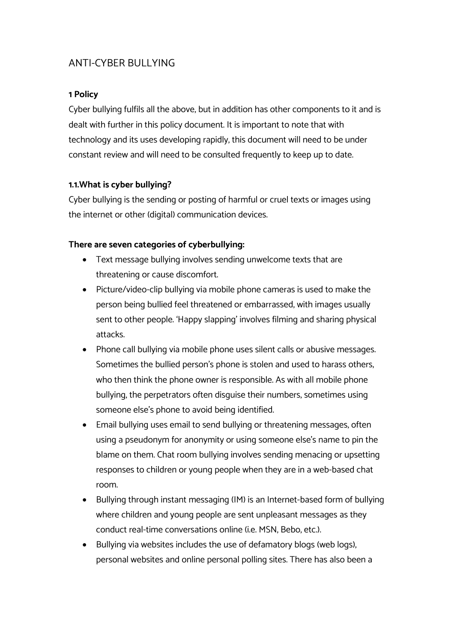# ANTI-CYBER BULLYING

#### **1 Policy**

Cyber bullying fulfils all the above, but in addition has other components to it and is dealt with further in this policy document. It is important to note that with technology and its uses developing rapidly, this document will need to be under constant review and will need to be consulted frequently to keep up to date.

#### **1.1.What is cyber bullying?**

Cyber bullying is the sending or posting of harmful or cruel texts or images using the internet or other (digital) communication devices.

#### **There are seven categories of cyberbullying:**

- Text message bullying involves sending unwelcome texts that are threatening or cause discomfort.
- Picture/video-clip bullying via mobile phone cameras is used to make the person being bullied feel threatened or embarrassed, with images usually sent to other people. 'Happy slapping' involves filming and sharing physical attacks.
- Phone call bullying via mobile phone uses silent calls or abusive messages. Sometimes the bullied person's phone is stolen and used to harass others, who then think the phone owner is responsible. As with all mobile phone bullying, the perpetrators often disguise their numbers, sometimes using someone else's phone to avoid being identified.
- Email bullying uses email to send bullying or threatening messages, often using a pseudonym for anonymity or using someone else's name to pin the blame on them. Chat room bullying involves sending menacing or upsetting responses to children or young people when they are in a web-based chat room.
- Bullying through instant messaging (IM) is an Internet-based form of bullying where children and young people are sent unpleasant messages as they conduct real-time conversations online (i.e. MSN, Bebo, etc.).
- Bullying via websites includes the use of defamatory blogs (web logs), personal websites and online personal polling sites. There has also been a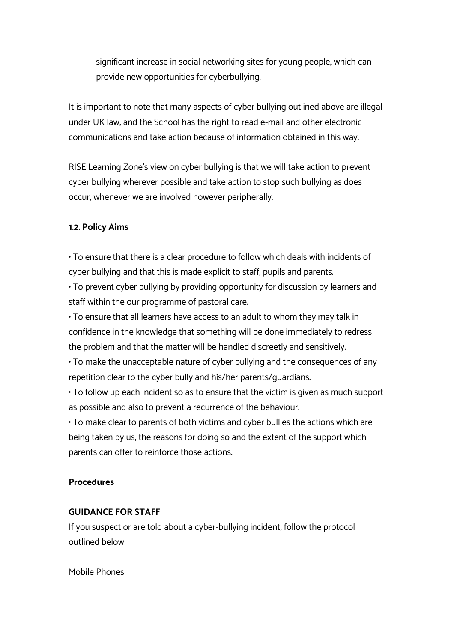significant increase in social networking sites for young people, which can provide new opportunities for cyberbullying.

It is important to note that many aspects of cyber bullying outlined above are illegal under UK law, and the School has the right to read e-mail and other electronic communications and take action because of information obtained in this way.

RISE Learning Zone's view on cyber bullying is that we will take action to prevent cyber bullying wherever possible and take action to stop such bullying as does occur, whenever we are involved however peripherally.

#### **1.2. Policy Aims**

• To ensure that there is a clear procedure to follow which deals with incidents of cyber bullying and that this is made explicit to staff, pupils and parents.

• To prevent cyber bullying by providing opportunity for discussion by learners and staff within the our programme of pastoral care.

• To ensure that all learners have access to an adult to whom they may talk in confidence in the knowledge that something will be done immediately to redress the problem and that the matter will be handled discreetly and sensitively.

• To make the unacceptable nature of cyber bullying and the consequences of any repetition clear to the cyber bully and his/her parents/guardians.

• To follow up each incident so as to ensure that the victim is given as much support as possible and also to prevent a recurrence of the behaviour.

• To make clear to parents of both victims and cyber bullies the actions which are being taken by us, the reasons for doing so and the extent of the support which parents can offer to reinforce those actions.

#### **Procedures**

#### **GUIDANCE FOR STAFF**

If you suspect or are told about a cyber-bullying incident, follow the protocol outlined below

Mobile Phones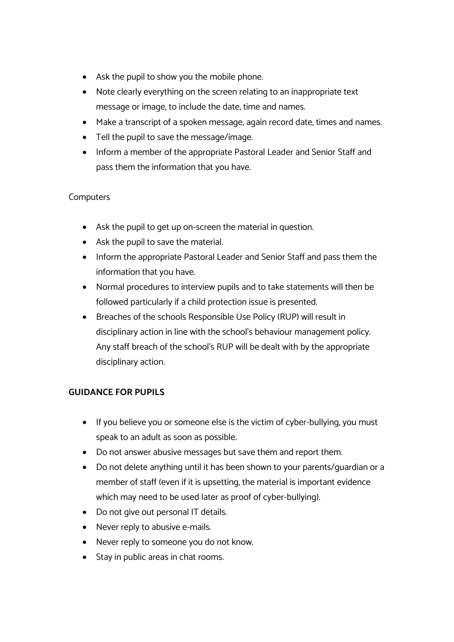- Ask the pupil to show you the mobile phone.
- Note clearly everything on the screen relating to an inappropriate text message or image, to include the date, time and names.
- Make a transcript of a spoken message, again record date, times and names.
- Tell the pupil to save the message/image.
- Inform a member of the appropriate Pastoral Leader and Senior Staff and pass them the information that you have.

# **Computers**

- Ask the pupil to get up on-screen the material in question.
- Ask the pupil to save the material.
- Inform the appropriate Pastoral Leader and Senior Staff and pass them the information that you have.
- Normal procedures to interview pupils and to take statements will then be followed particularly if a child protection issue is presented.
- Breaches of the schools Responsible Use Policy (RUP) will result in disciplinary action in line with the school's behaviour management policy. Any staff breach of the school's RUP will be dealt with by the appropriate disciplinary action.

# **GUIDANCE FOR PUPILS**

- If you believe you or someone else is the victim of cyber-bullying, you must speak to an adult as soon as possible.
- Do not answer abusive messages but save them and report them.
- Do not delete anything until it has been shown to your parents/guardian or a member of staff (even if it is upsetting, the material is important evidence which may need to be used later as proof of cyber-bullying).
- Do not give out personal IT details.
- Never reply to abusive e-mails.
- Never reply to someone you do not know.
- Stay in public areas in chat rooms.